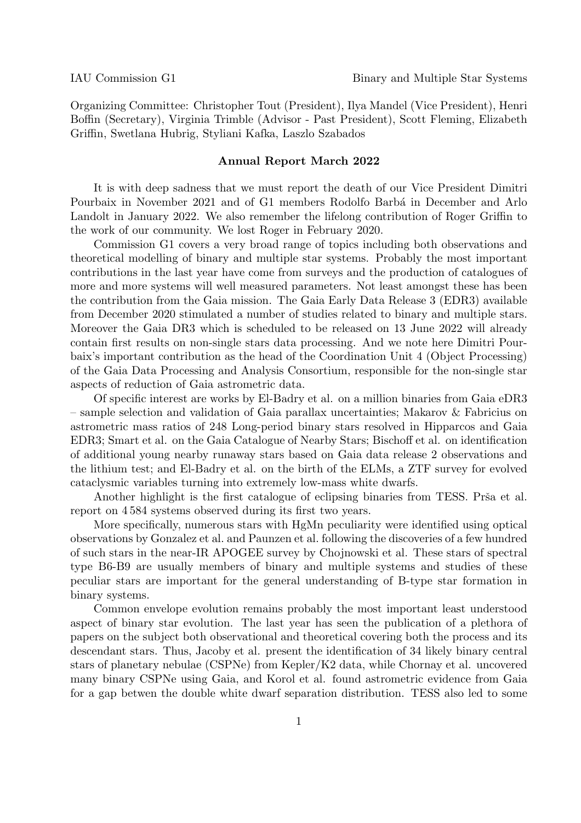Organizing Committee: Christopher Tout (President), Ilya Mandel (Vice President), Henri Boffin (Secretary), Virginia Trimble (Advisor - Past President), Scott Fleming, Elizabeth Griffin, Swetlana Hubrig, Styliani Kafka, Laszlo Szabados

## Annual Report March 2022

It is with deep sadness that we must report the death of our Vice President Dimitri Pourbaix in November 2021 and of G1 members Rodolfo Barbá in December and Arlo Landolt in January 2022. We also remember the lifelong contribution of Roger Griffin to the work of our community. We lost Roger in February 2020.

Commission G1 covers a very broad range of topics including both observations and theoretical modelling of binary and multiple star systems. Probably the most important contributions in the last year have come from surveys and the production of catalogues of more and more systems will well measured parameters. Not least amongst these has been the contribution from the Gaia mission. The Gaia Early Data Release 3 (EDR3) available from December 2020 stimulated a number of studies related to binary and multiple stars. Moreover the Gaia DR3 which is scheduled to be released on 13 June 2022 will already contain first results on non-single stars data processing. And we note here Dimitri Pourbaix's important contribution as the head of the Coordination Unit 4 (Object Processing) of the Gaia Data Processing and Analysis Consortium, responsible for the non-single star aspects of reduction of Gaia astrometric data.

Of specific interest are works by El-Badry et al. on a million binaries from Gaia eDR3 – sample selection and validation of Gaia parallax uncertainties; Makarov & Fabricius on astrometric mass ratios of 248 Long-period binary stars resolved in Hipparcos and Gaia EDR3; Smart et al. on the Gaia Catalogue of Nearby Stars; Bischoff et al. on identification of additional young nearby runaway stars based on Gaia data release 2 observations and the lithium test; and El-Badry et al. on the birth of the ELMs, a ZTF survey for evolved cataclysmic variables turning into extremely low-mass white dwarfs.

Another highlight is the first catalogue of eclipsing binaries from TESS. Prša et al. report on 4 584 systems observed during its first two years.

More specifically, numerous stars with HgMn peculiarity were identified using optical observations by Gonzalez et al. and Paunzen et al. following the discoveries of a few hundred of such stars in the near-IR APOGEE survey by Chojnowski et al. These stars of spectral type B6-B9 are usually members of binary and multiple systems and studies of these peculiar stars are important for the general understanding of B-type star formation in binary systems.

Common envelope evolution remains probably the most important least understood aspect of binary star evolution. The last year has seen the publication of a plethora of papers on the subject both observational and theoretical covering both the process and its descendant stars. Thus, Jacoby et al. present the identification of 34 likely binary central stars of planetary nebulae (CSPNe) from Kepler/K2 data, while Chornay et al. uncovered many binary CSPNe using Gaia, and Korol et al. found astrometric evidence from Gaia for a gap betwen the double white dwarf separation distribution. TESS also led to some